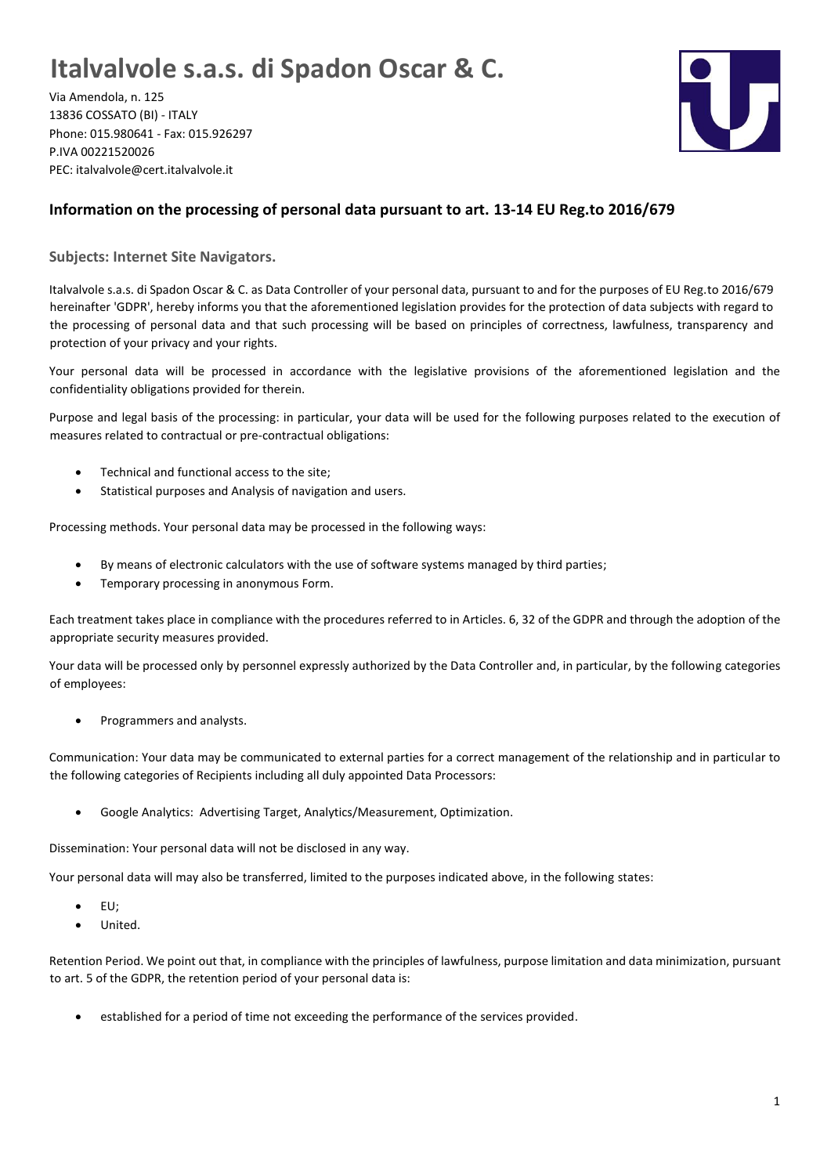## **Italvalvole s.a.s. di Spadon Oscar & C.**

Via Amendola, n. 125 13836 COSSATO (BI) - ITALY Phone: 015.980641 - Fax: 015.926297 P.IVA 00221520026 PEC: italvalvole@cert.italvalvole.it



## **Information on the processing of personal data pursuant to art. 13-14 EU Reg.to 2016/679**

**Subjects: Internet Site Navigators.**

Italvalvole s.a.s. di Spadon Oscar & C. as Data Controller of your personal data, pursuant to and for the purposes of EU Reg.to 2016/679 hereinafter 'GDPR', hereby informs you that the aforementioned legislation provides for the protection of data subjects with regard to the processing of personal data and that such processing will be based on principles of correctness, lawfulness, transparency and protection of your privacy and your rights.

Your personal data will be processed in accordance with the legislative provisions of the aforementioned legislation and the confidentiality obligations provided for therein.

Purpose and legal basis of the processing: in particular, your data will be used for the following purposes related to the execution of measures related to contractual or pre-contractual obligations:

- Technical and functional access to the site;
- Statistical purposes and Analysis of navigation and users.

Processing methods. Your personal data may be processed in the following ways:

- By means of electronic calculators with the use of software systems managed by third parties;
- Temporary processing in anonymous Form.

Each treatment takes place in compliance with the procedures referred to in Articles. 6, 32 of the GDPR and through the adoption of the appropriate security measures provided.

Your data will be processed only by personnel expressly authorized by the Data Controller and, in particular, by the following categories of employees:

• Programmers and analysts.

Communication: Your data may be communicated to external parties for a correct management of the relationship and in particular to the following categories of Recipients including all duly appointed Data Processors:

• Google Analytics: Advertising Target, Analytics/Measurement, Optimization.

Dissemination: Your personal data will not be disclosed in any way.

Your personal data will may also be transferred, limited to the purposes indicated above, in the following states:

- EU;
- United.

Retention Period. We point out that, in compliance with the principles of lawfulness, purpose limitation and data minimization, pursuant to art. 5 of the GDPR, the retention period of your personal data is:

• established for a period of time not exceeding the performance of the services provided.